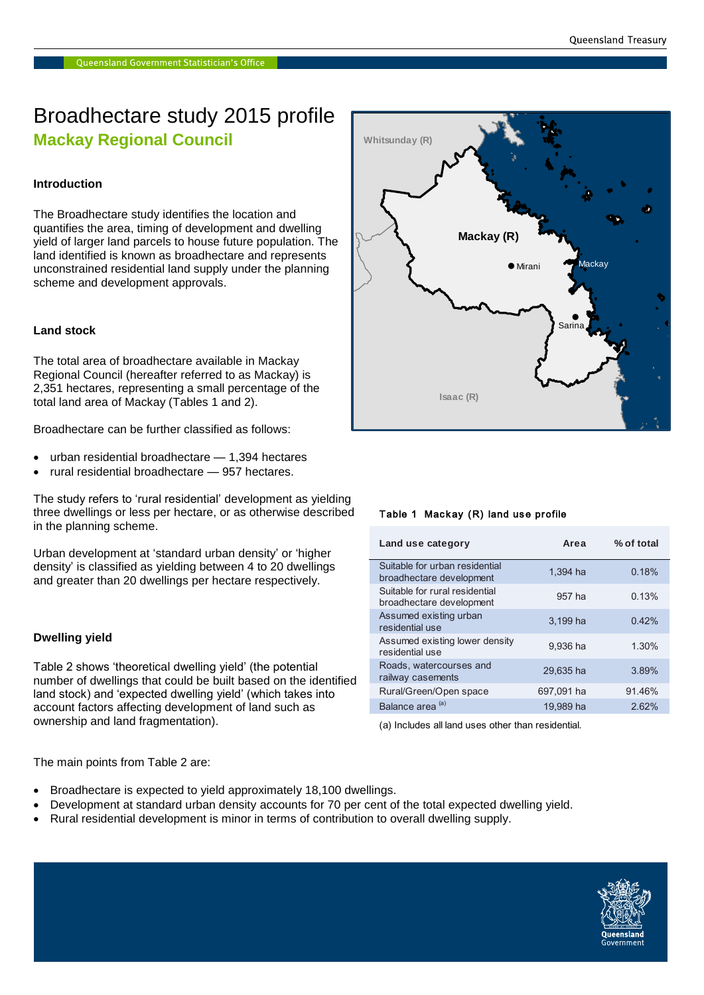# Broadhectare study 2015 profile **Mackay Regional Council**

# **Introduction**

The Broadhectare study identifies the location and quantifies the area, timing of development and dwelling yield of larger land parcels to house future population. The land identified is known as broadhectare and represents unconstrained residential land supply under the planning scheme and development approvals.

# **Land stock**

The total area of broadhectare available in Mackay Regional Council (hereafter referred to as Mackay) is 2,351 hectares, representing a small percentage of the total land area of Mackay (Tables 1 and 2).

Broadhectare can be further classified as follows:

- urban residential broadhectare 1,394 hectares
- rural residential broadhectare 957 hectares.

The study refers to 'rural residential' development as yielding three dwellings or less per hectare, or as otherwise described in the planning scheme.

Urban development at 'standard urban density' or 'higher density' is classified as yielding between 4 to 20 dwellings and greater than 20 dwellings per hectare respectively.

#### **Dwelling yield**

Table 2 shows 'theoretical dwelling yield' (the potential number of dwellings that could be built based on the identified land stock) and 'expected dwelling yield' (which takes into account factors affecting development of land such as ownership and land fragmentation).

Mackay<br>
Sarina<br>
Sarina<br>
1,394 ha 0.18%<br>
957 ha 0.18%<br>
3,199 ha 0.42%  $\bullet$  Mirani**Isaac (R) Whitsunday (R) Mackay (R)** Sarina **Mackay** 

# Table 1 Mackay (R) land use profile

| Land use category                                          | Area       | % of total |
|------------------------------------------------------------|------------|------------|
| Suitable for urban residential<br>broadhectare development | 1.394 ha   | 0.18%      |
| Suitable for rural residential<br>broadhectare development | 957 ha     | 0.13%      |
| Assumed existing urban<br>residential use                  | 3.199 ha   | 0.42%      |
| Assumed existing lower density<br>residential use          | 9,936 ha   | 1.30%      |
| Roads, watercourses and<br>railway casements               | 29.635 ha  | 3.89%      |
| Rural/Green/Open space                                     | 697.091 ha | 91.46%     |
| Balance area <sup>(a)</sup>                                | 19.989 ha  | 2.62%      |

(a) Includes all land uses other than residential.

The main points from Table 2 are:

- Broadhectare is expected to yield approximately 18,100 dwellings.
- Development at standard urban density accounts for 70 per cent of the total expected dwelling yield.
- Rural residential development is minor in terms of contribution to overall dwelling supply.

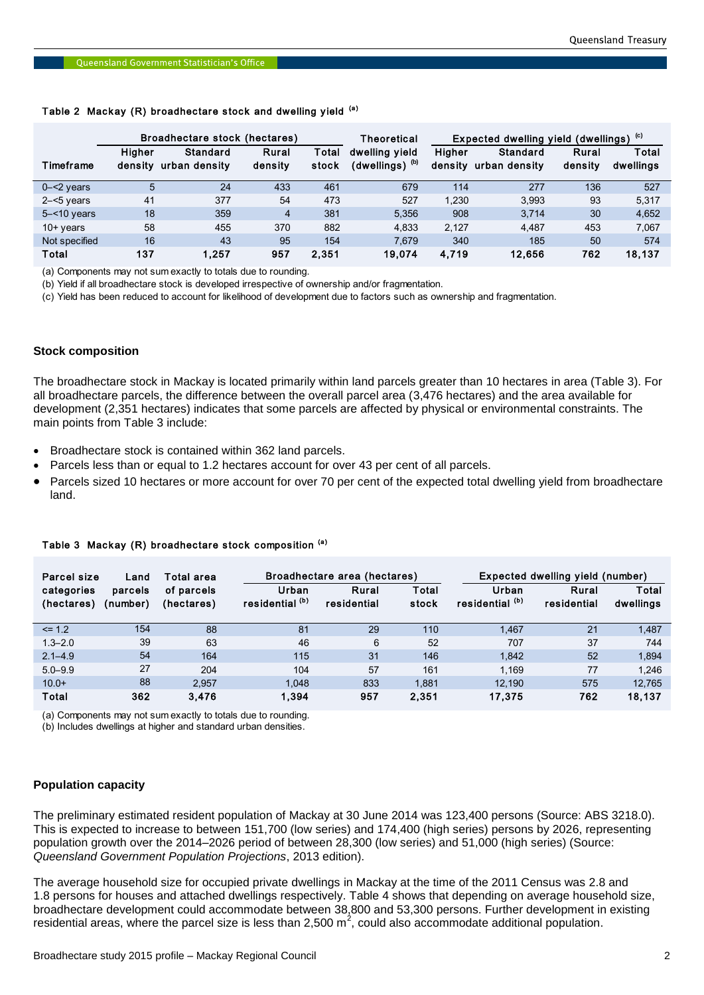#### Table 2 Mackay (R) broadhectare stock and dwelling yield (a)

#### **Stock composition**

- Broadhectare stock is contained within 362 land parcels.
- Parcels less than or equal to 1.2 hectares account for over 43 per cent of all parcels.
- Parcels sized 10 hectares or more account for over 70 per cent of the expected total dwelling yield from broadhectare land.

| Parcel size<br>Land      |                     | Total area               | Broadhectare area (hectares)        |                      |                | Expected dwelling yield (number)    |                      |                    |
|--------------------------|---------------------|--------------------------|-------------------------------------|----------------------|----------------|-------------------------------------|----------------------|--------------------|
| categories<br>(hectares) | parcels<br>(number) | of parcels<br>(hectares) | Urban<br>residential <sup>(b)</sup> | Rural<br>residential | Total<br>stock | Urban<br>residential <sup>(b)</sup> | Rural<br>residential | Total<br>dwellings |
| $= 1.2$                  | 154                 | 88                       | 81                                  | 29                   | 110            | 1,467                               | 21                   | 1,487              |
| $1.3 - 2.0$              | 39                  | 63                       | 46                                  | 6                    | 52             | 707                                 | 37                   | 744                |
| $2.1 - 4.9$              | 54                  | 164                      | 115                                 | 31                   | 146            | 1.842                               | 52                   | 1,894              |
| $5.0 - 9.9$              | 27                  | 204                      | 104                                 | 57                   | 161            | 1.169                               | 77                   | 1.246              |
| $10.0+$                  | 88                  | 2.957                    | 1.048                               | 833                  | 1.881          | 12.190                              | 575                  | 12.765             |
| Total                    | 362                 | 3,476                    | 1.394                               | 957                  | 2,351          | 17,375                              | 762                  | 18,137             |

#### Table 3 Mackay (R) broadhectare stock composition (a)

(a) Components may not sum exactly to totals due to rounding.

(b) Includes dwellings at higher and standard urban densities.

# **Population capacity**

The preliminary estimated resident population of Mackay at 30 June 2014 was 123,400 persons (Source: ABS 3218.0). This is expected to increase to between 151,700 (low series) and 174,400 (high series) persons by 2026, representing population growth over the 2014–2026 period of between 28,300 (low series) and 51,000 (high series) (Source: *Queensland Government Population Projections*, 2013 edition).

The average household size for occupied private dwellings in Mackay at the time of the 2011 Census was 2.8 and 1.8 persons for houses and attached dwellings respectively. Table 4 shows that depending on average household size, broadhectare development could accommodate between 38,800 and 53,300 persons. Further development in existing residential areas, where the parcel size is less than 2,500 m<sup>2</sup>, could also accommodate additional population.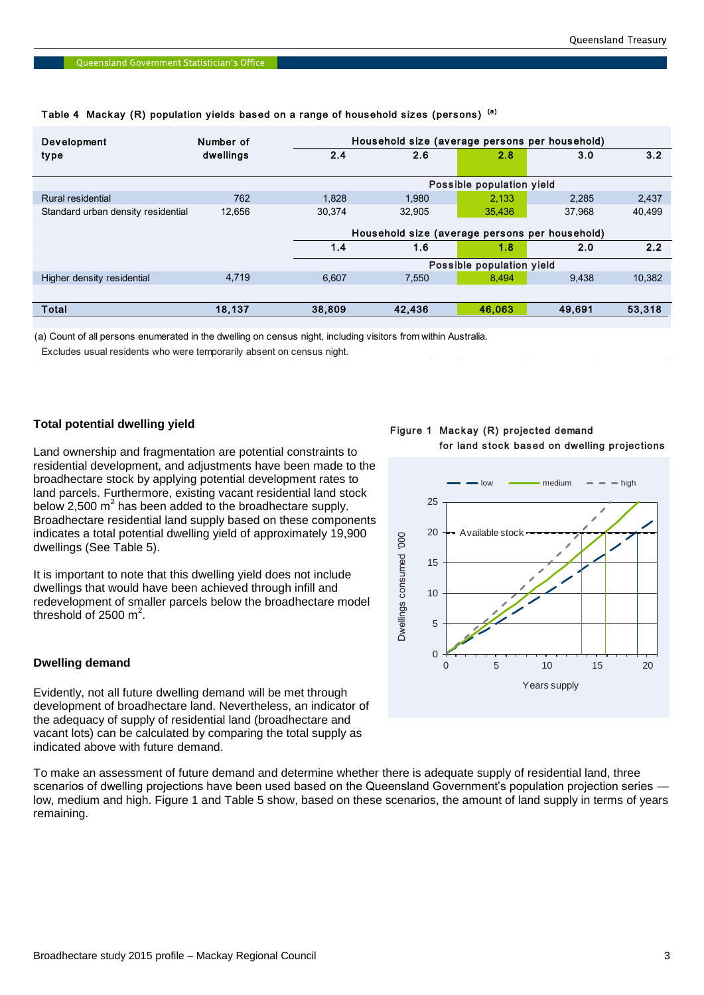| Development                        | Number of |                                                | Household size (average persons per household) |        |        |        |  |  |
|------------------------------------|-----------|------------------------------------------------|------------------------------------------------|--------|--------|--------|--|--|
| type                               | dwellings | 2.4                                            | 2.6                                            | 2.8    | 3.0    | 3.2    |  |  |
|                                    |           |                                                | Possible population yield                      |        |        |        |  |  |
| Rural residential                  | 762       | 1.828                                          | 1.980                                          | 2.133  | 2.285  | 2,437  |  |  |
| Standard urban density residential | 12,656    | 30.374                                         | 32.905                                         | 35,436 | 37,968 | 40,499 |  |  |
|                                    |           | Household size (average persons per household) |                                                |        |        |        |  |  |
|                                    |           | 1.4                                            | 1.6                                            | 1.8    | 2.0    | 2.2    |  |  |
|                                    |           | Possible population yield                      |                                                |        |        |        |  |  |
| Higher density residential         | 4,719     | 6,607                                          | 7,550                                          | 8,494  | 9,438  | 10,382 |  |  |
|                                    |           |                                                |                                                |        |        |        |  |  |
| Total                              | 18,137    | 38,809                                         | 42,436                                         | 46,063 | 49,691 | 53,318 |  |  |

# Table 4 Mackay (R) population yields based on a range of household sizes (persons) (a)

(a) Count of all persons enumerated in the dwelling on census night, including visitors from within Australia.

Excludes usual residents who were temporarily absent on census night.

# **Total potential dwelling yield**

Land ownership and fragmentation are potential constraints to residential development, and adjustments have been made to the broadhectare stock by applying potential development rates to land parcels. Furthermore, existing vacant residential land stock below 2,500  $m^2$  has been added to the broadhectare supply. Broadhectare residential land supply based on these components indicates a total potential dwelling yield of approximately 19,900 dwellings (See Table 5).

It is important to note that this dwelling yield does not include dwellings that would have been achieved through infill and redevelopment of smaller parcels below the broadhectare model threshold of 2500  $m^2$ .

### **Dwelling demand**

Evidently, not all future dwelling demand will be met through development of broadhectare land. Nevertheless, an indicator of the adequacy of supply of residential land (broadhectare and vacant lots) can be calculated by comparing the total supply as indicated above with future demand.

To make an assessment of future demand and determine whether there is adequate supply of residential land, three scenarios of dwelling projections have been used based on the Queensland Government's population projection series low, medium and high. Figure 1 and Table 5 show, based on these scenarios, the amount of land supply in terms of years remaining.

Figure 1 Mackay (R) projected demand for land stock based on dwelling projections

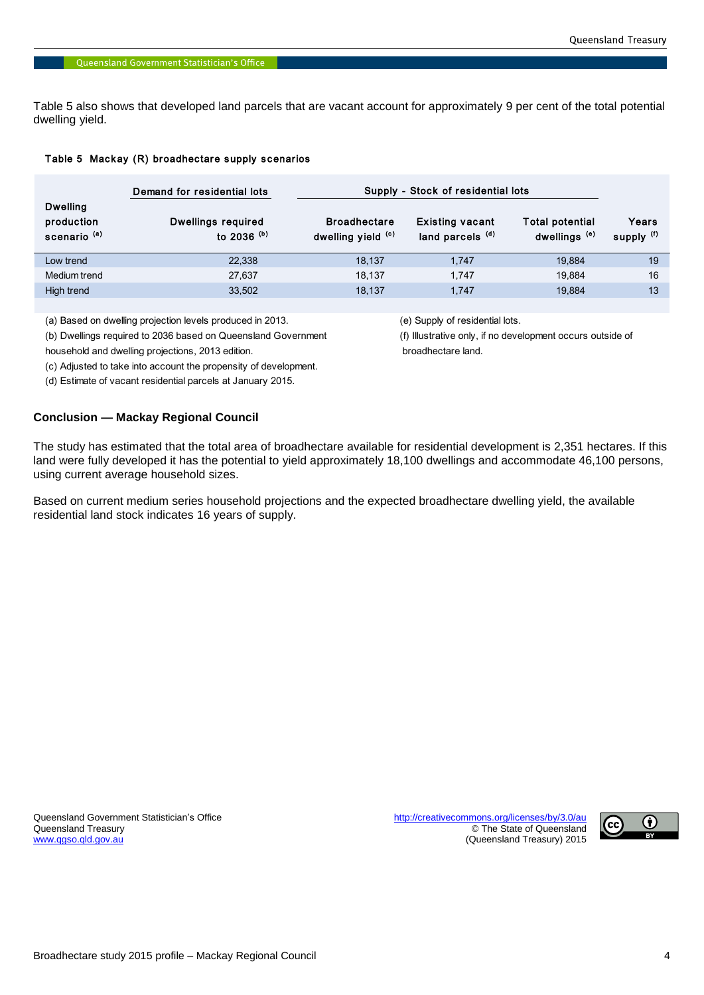Table 5 also shows that developed land parcels that are vacant account for approximately 9 per cent of the total potential dwelling yield.

## Table 5 Mackay (R) broadhectare supply scenarios

|                                                          | Demand for residential lots         | Supply - Stock of residential lots        |                                                       |                                                    |                     |
|----------------------------------------------------------|-------------------------------------|-------------------------------------------|-------------------------------------------------------|----------------------------------------------------|---------------------|
| <b>Dwelling</b><br>production<br>scenario <sup>(a)</sup> | Dwellings required<br>to 2036 $(b)$ | <b>Broadhectare</b><br>dwelling yield (c) | <b>Existing vacant</b><br>land parcels <sup>(d)</sup> | <b>Total potential</b><br>dwellings <sup>(e)</sup> | Years<br>supply (f) |
| Low trend                                                | 22,338                              | 18.137                                    | 1.747                                                 | 19.884                                             | 19                  |
| Medium trend                                             | 27,637                              | 18.137                                    | 1.747                                                 | 19.884                                             | 16                  |
| High trend                                               | 33,502                              | 18,137                                    | 1.747                                                 | 19.884                                             | 13                  |

(a) Based on dwelling projection levels produced in 2013. (e) Supply of residential lots.

(b) Dwellings required to 2036 based on Queensland Government (f) Illustrative only, if no development occurs outside of

household and dwelling projections, 2013 edition. broadhectare land.

(c) Adjusted to take into account the propensity of development.

(d) Estimate of vacant residential parcels at January 2015.

# **Conclusion — Mackay Regional Council**

The study has estimated that the total area of broadhectare available for residential development is 2,351 hectares. If this land were fully developed it has the potential to yield approximately 18,100 dwellings and accommodate 46,100 persons, using current average household sizes.

Based on current medium series household projections and the expected broadhectare dwelling yield, the available residential land stock indicates 16 years of supply.

Queensland Government Statistician's Office <http://creativecommons.org/licenses/by/3.0/au>

Queensland Treasury **Contract of Contract of Contract of Contract of Contract of Contract of Contract of Contract of Contract of Contract of Contract of Contract of Contract of Contract of Contract of Contract of Contract** (Queensland Treasury) 2015